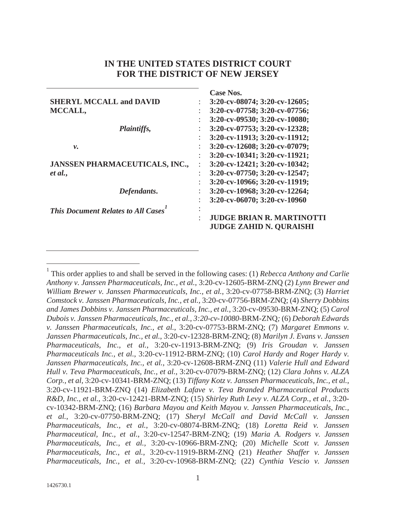# **IN THE UNITED STATES DISTRICT COURT FOR THE DISTRICT OF NEW JERSEY**

|                                           | <b>Case Nos.</b>                         |
|-------------------------------------------|------------------------------------------|
| <b>SHERYL MCCALL and DAVID</b>            | 3:20-cv-08074; 3:20-cv-12605;            |
| MCCALL,                                   | 3:20-cv-07758; 3:20-cv-07756;            |
|                                           | 3:20-cv-09530; 3:20-cv-10080;<br>٠       |
| <i>Plaintiffs,</i>                        | 3:20-cv-07753; 3:20-cv-12328;            |
|                                           | 3:20-cv-11913; 3:20-cv-11912;            |
| ν.                                        | 3:20-cv-12608; 3:20-cv-07079;<br>÷       |
|                                           | 3:20-cv-10341; 3:20-cv-11921;            |
| <b>JANSSEN PHARMACEUTICALS, INC.,</b>     | 3:20-cv-12421; 3:20-cv-10342;            |
| et al.,                                   | $3:20$ -cv-07750; $3:20$ -cv-12547;<br>÷ |
|                                           | 3:20-cv-10966; 3:20-cv-11919;            |
| Defendants.                               | 3:20-cv-10968; 3:20-cv-12264;            |
|                                           | 3:20-cv-06070; 3:20-cv-10960             |
| <b>This Document Relates to All Cases</b> |                                          |
|                                           | <b>JUDGE BRIAN R. MARTINOTTI</b>         |
|                                           | <b>JUDGE ZAHID N. QURAISHI</b>           |

<sup>&</sup>lt;sup>1</sup> This order applies to and shall be served in the following cases: (1) *Rebecca Anthony and Carlie Anthony v. Janssen Pharmaceuticals, Inc., et al.*, 3:20-cv-12605-BRM-ZNQ (2) *Lynn Brewer and William Brewer v. Janssen Pharmaceuticals, Inc., et al.*, 3:20-cv-07758-BRM-ZNQ; (3) *Harriet Comstock v. Janssen Pharmaceuticals, Inc., et al.*, 3:20-cv-07756-BRM-ZNQ; (4) *Sherry Dobbins and James Dobbins v. Janssen Pharmaceuticals, Inc., et al.,* 3:20-cv-09530-BRM-ZNQ; (5) *Carol Dubois v. Janssen Pharmaceuticals, Inc., et al., 3:20-cv-10080*-BRM-ZNQ*;* (6) *Deborah Edwards v. Janssen Pharmaceuticals, Inc., et al.*, 3:20-cv-07753-BRM-ZNQ; (7) *Margaret Emmons v. Janssen Pharmaceuticals, Inc., et al.*, 3:20-cv-12328-BRM-ZNQ; (8) *Marilyn J. Evans v. Janssen Pharmaceuticals, Inc., et al.*, 3:20-cv-11913-BRM-ZNQ; (9) *Iris Groudan v. Janssen Pharmaceuticals Inc., et al.*, 3:20-cv-11912-BRM-ZNQ; (10) *Carol Hardy and Roger Hardy v. Janssen Pharmaceuticals, Inc., et al.*, 3:20-cv-12608-BRM-ZNQ (11) *Valerie Hull and Edward Hull v. Teva Pharmaceuticals, Inc., et al.,* 3:20-cv-07079-BRM-ZNQ; (12) *Clara Johns v. ALZA Corp., et al,* 3:20-cv-10341-BRM-ZNQ; (13) *Tiffany Kotz v. Janssen Pharmaceuticals, Inc., et al.*, 3:20-cv-11921-BRM-ZNQ (14) *Elizabeth Lafave v. Teva Branded Pharmaceutical Products R&D, Inc., et al.*, 3:20-cv-12421-BRM-ZNQ; (15) *Shirley Ruth Levy v. ALZA Corp., et al.,* 3:20 cv-10342-BRM-ZNQ; (16) *Barbara Mayou and Keith Mayou v. Janssen Pharmaceuticals, Inc., et al.*, 3:20-cv-07750-BRM-ZNQ; (17) *Sheryl McCall and David McCall v. Janssen Pharmaceuticals, Inc., et al.*, 3:20-cv-08074-BRM-ZNQ; (18) *Loretta Reid v. Janssen Pharmaceutical, Inc., et al.*, 3:20-cv-12547-BRM-ZNQ; (19) *Maria A. Rodgers v. Janssen Pharmaceuticals, Inc., et al.,* 3:20-cv-10966-BRM-ZNQ; (20) *Michelle Scott v. Janssen Pharmaceuticals, Inc., et al.*, 3:20-cv-11919-BRM-ZNQ (21) *Heather Shaffer v. Janssen Pharmaceuticals, Inc., et al.,* 3:20-cv-10968-BRM-ZNQ; (22) *Cynthia Vescio v. Janssen*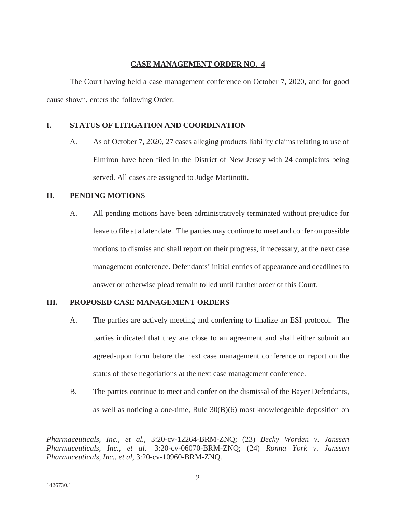#### **CASE MANAGEMENT ORDER NO.\_4**

The Court having held a case management conference on October 7, 2020, and for good cause shown, enters the following Order:

### **I. STATUS OF LITIGATION AND COORDINATION**

A. As of October 7, 2020, 27 cases alleging products liability claims relating to use of Elmiron have been filed in the District of New Jersey with 24 complaints being served. All cases are assigned to Judge Martinotti.

### **II. PENDING MOTIONS**

A. All pending motions have been administratively terminated without prejudice for leave to file at a later date. The parties may continue to meet and confer on possible motions to dismiss and shall report on their progress, if necessary, at the next case management conference. Defendants' initial entries of appearance and deadlines to answer or otherwise plead remain tolled until further order of this Court.

## **III. PROPOSED CASE MANAGEMENT ORDERS**

- A. The parties are actively meeting and conferring to finalize an ESI protocol. The parties indicated that they are close to an agreement and shall either submit an agreed-upon form before the next case management conference or report on the status of these negotiations at the next case management conference.
- B. The parties continue to meet and confer on the dismissal of the Bayer Defendants, as well as noticing a one-time, Rule 30(B)(6) most knowledgeable deposition on

*Pharmaceuticals, Inc., et al.*, 3:20-cv-12264-BRM-ZNQ; (23) *Becky Worden v. Janssen Pharmaceuticals, Inc., et al.* 3:20-cv-06070-BRM-ZNQ; (24) *Ronna York v. Janssen Pharmaceuticals, Inc., et al,* 3:20-cv-10960-BRM-ZNQ.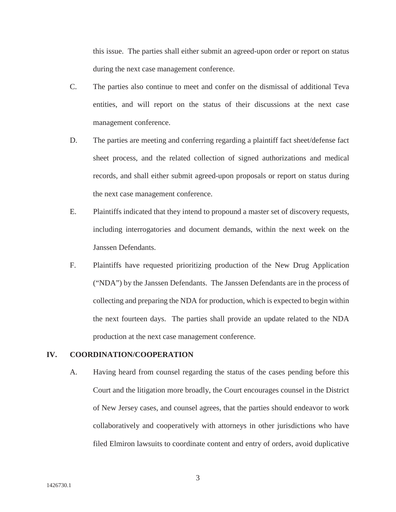this issue. The parties shall either submit an agreed-upon order or report on status during the next case management conference.

- C. The parties also continue to meet and confer on the dismissal of additional Teva entities, and will report on the status of their discussions at the next case management conference.
- D. The parties are meeting and conferring regarding a plaintiff fact sheet/defense fact sheet process, and the related collection of signed authorizations and medical records, and shall either submit agreed-upon proposals or report on status during the next case management conference.
- E. Plaintiffs indicated that they intend to propound a master set of discovery requests, including interrogatories and document demands, within the next week on the Janssen Defendants.
- F. Plaintiffs have requested prioritizing production of the New Drug Application ("NDA") by the Janssen Defendants. The Janssen Defendants are in the process of collecting and preparing the NDA for production, which is expected to begin within the next fourteen days. The parties shall provide an update related to the NDA production at the next case management conference.

#### **IV. COORDINATION/COOPERATION**

A. Having heard from counsel regarding the status of the cases pending before this Court and the litigation more broadly, the Court encourages counsel in the District of New Jersey cases, and counsel agrees, that the parties should endeavor to work collaboratively and cooperatively with attorneys in other jurisdictions who have filed Elmiron lawsuits to coordinate content and entry of orders, avoid duplicative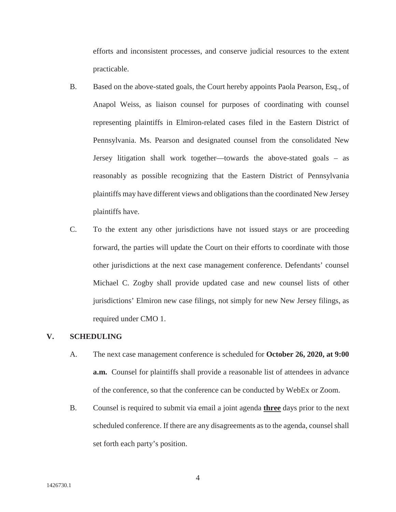efforts and inconsistent processes, and conserve judicial resources to the extent practicable.

- B. Based on the above-stated goals, the Court hereby appoints Paola Pearson, Esq., of Anapol Weiss, as liaison counsel for purposes of coordinating with counsel representing plaintiffs in Elmiron-related cases filed in the Eastern District of Pennsylvania. Ms. Pearson and designated counsel from the consolidated New Jersey litigation shall work together—towards the above-stated goals – as reasonably as possible recognizing that the Eastern District of Pennsylvania plaintiffs may have different views and obligations than the coordinated New Jersey plaintiffs have.
- C. To the extent any other jurisdictions have not issued stays or are proceeding forward, the parties will update the Court on their efforts to coordinate with those other jurisdictions at the next case management conference. Defendants' counsel Michael C. Zogby shall provide updated case and new counsel lists of other jurisdictions' Elmiron new case filings, not simply for new New Jersey filings, as required under CMO 1.

#### **V. SCHEDULING**

- A. The next case management conference is scheduled for **October 26, 2020, at 9:00 a.m.** Counsel for plaintiffs shall provide a reasonable list of attendees in advance of the conference, so that the conference can be conducted by WebEx or Zoom.
- B. Counsel is required to submit via email a joint agenda **three** days prior to the next scheduled conference. If there are any disagreements as to the agenda, counsel shall set forth each party's position.